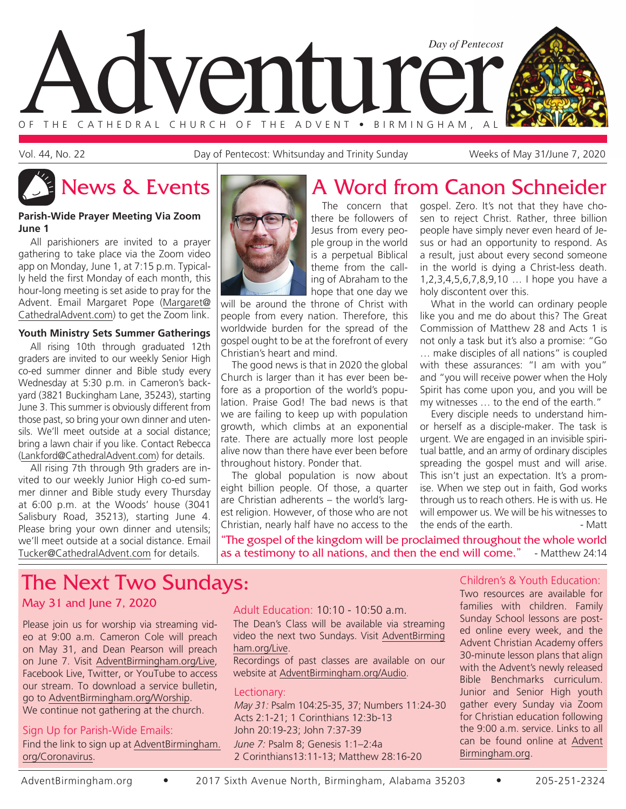

Vol. 44, No. 22 **Day of Pentecost: Whitsunday and Trinity Sunday** Weeks of May 31/June 7, 2020

# News & Events **A Word from Canon Schneider**

#### **Parish-Wide Prayer Meeting Via Zoom June 1**

All parishioners are invited to a prayer gathering to take place via the Zoom video app on Monday, June 1, at 7:15 p.m. Typically held the first Monday of each month, this hour-long meeting is set aside to pray for the Advent. Email Margaret Pope (Margaret@ CathedralAdvent.com) to get the Zoom link.

#### **Youth Ministry Sets Summer Gatherings**

All rising 10th through graduated 12th graders are invited to our weekly Senior High co-ed summer dinner and Bible study every Wednesday at 5:30 p.m. in Cameron's backyard (3821 Buckingham Lane, 35243), starting June 3. This summer is obviously different from those past, so bring your own dinner and utensils. We'll meet outside at a social distance; bring a lawn chair if you like. Contact Rebecca (Lankford@CathedralAdvent.com) for details.

All rising 7th through 9th graders are invited to our weekly Junior High co-ed summer dinner and Bible study every Thursday at 6:00 p.m. at the Woods' house (3041 Salisbury Road, 35213), starting June 4. Please bring your own dinner and utensils; we'll meet outside at a social distance. Email Tucker@CathedralAdvent.com for details.



The concern that there be followers of Jesus from every people group in the world is a perpetual Biblical theme from the calling of Abraham to the hope that one day we

will be around the throne of Christ with people from every nation. Therefore, this worldwide burden for the spread of the gospel ought to be at the forefront of every Christian's heart and mind.

The good news is that in 2020 the global Church is larger than it has ever been before as a proportion of the world's population. Praise God! The bad news is that we are failing to keep up with population growth, which climbs at an exponential rate. There are actually more lost people alive now than there have ever been before throughout history. Ponder that.

The global population is now about eight billion people. Of those, a quarter are Christian adherents – the world's largest religion. However, of those who are not Christian, nearly half have no access to the gospel. Zero. It's not that they have chosen to reject Christ. Rather, three billion people have simply never even heard of Jesus or had an opportunity to respond. As a result, just about every second someone in the world is dying a Christ-less death. 1,2,3,4,5,6,7,8,9,10 … I hope you have a holy discontent over this.

What in the world can ordinary people like you and me do about this? The Great Commission of Matthew 28 and Acts 1 is not only a task but it's also a promise: "Go … make disciples of all nations" is coupled with these assurances: "I am with you" and "you will receive power when the Holy Spirit has come upon you, and you will be my witnesses … to the end of the earth."

Every disciple needs to understand himor herself as a disciple-maker. The task is urgent. We are engaged in an invisible spiritual battle, and an army of ordinary disciples spreading the gospel must and will arise. This isn't just an expectation. It's a promise. When we step out in faith, God works through us to reach others. He is with us. He will empower us. We will be his witnesses to<br>the ends of the earth. the ends of the earth.

"The gospel of the kingdom will be proclaimed throughout the whole world as a testimony to all nations, and then the end will come." - Matthew 24:14

## The Next Two Sundays:

#### May 31 and June 7, 2020

Please join us for worship via streaming video at 9:00 a.m. Cameron Cole will preach on May 31, and Dean Pearson will preach on June 7. Visit AdventBirmingham.org/Live, Facebook Live, Twitter, or YouTube to access our stream. To download a service bulletin, go to AdventBirmingham.org/Worship. We continue not gathering at the church.

#### Sign Up for Parish-Wide Emails:

Find the link to sign up at AdventBirmingham. org/Coronavirus.

Adult Education: 10:10 - 10:50 a.m.

The Dean's Class will be available via streaming video the next two Sundays. Visit AdventBirming ham.org/Live.

Recordings of past classes are available on our website at AdventBirmingham.org/Audio.

#### Lectionary:

*May 31:* Psalm 104:25-35, 37; Numbers 11:24-30 Acts 2:1-21; 1 Corinthians 12:3b-13 John 20:19-23; John 7:37-39 *June 7:* Psalm 8; Genesis 1:1–2:4a 2 Corinthians13:11-13; Matthew 28:16-20

#### Children's & Youth Education:

Two resources are available for families with children. Family Sunday School lessons are posted online every week, and the Advent Christian Academy offers 30-minute lesson plans that align with the Advent's newly released Bible Benchmarks curriculum. Junior and Senior High youth gather every Sunday via Zoom for Christian education following the 9:00 a.m. service. Links to all can be found online at Advent Birmingham.org.